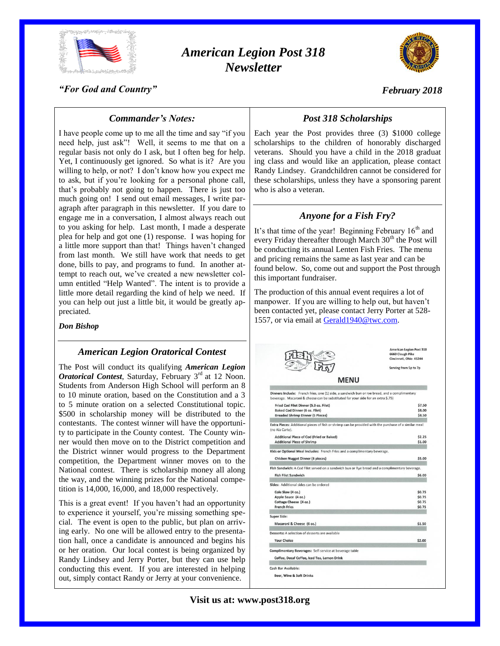

## *American Legion Post 318 Newsletter*



*February 2018*

*"For God and Country"*

# *Post 318 Scholarships*

I have people come up to me all the time and say "if you need help, just ask"! Well, it seems to me that on a regular basis not only do I ask, but I often beg for help. Yet, I continuously get ignored. So what is it? Are you willing to help, or not? I don't know how you expect me to ask, but if you're looking for a personal phone call, that's probably not going to happen. There is just too much going on! I send out email messages, I write paragraph after paragraph in this newsletter. If you dare to engage me in a conversation, I almost always reach out to you asking for help. Last month, I made a desperate plea for help and got one (1) response. I was hoping for a little more support than that! Things haven't changed from last month. We still have work that needs to get done, bills to pay, and programs to fund. In another attempt to reach out, we've created a new newsletter column entitled "Help Wanted". The intent is to provide a little more detail regarding the kind of help we need. If you can help out just a little bit, it would be greatly ap-

*Commander's Notes:*

preciated. *Don Bishop*

#### *American Legion Oratorical Contest*

The Post will conduct its qualifying *American Legion Oratorical Contest*, Saturday, February 3<sup>rd</sup> at 12 Noon. Students from Anderson High School will perform an 8 to 10 minute oration, based on the Constitution and a 3 to 5 minute oration on a selected Constitutional topic. \$500 in scholarship money will be distributed to the contestants. The contest winner will have the opportunity to participate in the County contest. The County winner would then move on to the District competition and the District winner would progress to the Department competition, the Department winner moves on to the National contest. There is scholarship money all along the way, and the winning prizes for the National competition is 14,000, 16,000, and 18,000 respectively.

This is a great event! If you haven't had an opportunity to experience it yourself, you're missing something special. The event is open to the public, but plan on arriving early. No one will be allowed entry to the presentation hall, once a candidate is announced and begins his or her oration. Our local contest is being organized by Randy Lindsey and Jerry Porter, but they can use help conducting this event. If you are interested in helping out, simply contact Randy or Jerry at your convenience.

Each year the Post provides three (3) \$1000 college scholarships to the children of honorably discharged veterans. Should you have a child in the 2018 graduat ing class and would like an application, please contact Randy Lindsey. Grandchildren cannot be considered for these scholarships, unless they have a sponsoring parent who is also a veteran.

## *Anyone for a Fish Fry?*

It's that time of the year! Beginning February  $16<sup>th</sup>$  and every Friday thereafter through March  $30<sup>th</sup>$  the Post will be conducting its annual Lenten Fish Fries. The menu and pricing remains the same as last year and can be found below. So, come out and support the Post through this important fundraiser.

The production of this annual event requires a lot of manpower. If you are willing to help out, but haven't been contacted yet, please contact Jerry Porter at 528- 1557, or via email at [Gerald1940@twc.com.](mailto:Gerald1940@twc.com)

|                                                                                                                                                                                   | <b>American Legion Post 318</b><br>6660 Clough Pike<br>Cincinnati, Ohio 45244 |  |
|-----------------------------------------------------------------------------------------------------------------------------------------------------------------------------------|-------------------------------------------------------------------------------|--|
|                                                                                                                                                                                   | Serving from 5p to 7p                                                         |  |
| <b>MENU</b>                                                                                                                                                                       |                                                                               |  |
| Dinners Include: French fries, one (1) side, a sandwich bun or rye bread, and a complimentary<br>beverage. Macaroni & cheese can be substituted for your side for an extra \$.75) |                                                                               |  |
| Fried Cod Filet Dinner (5.3 oz. Filet)                                                                                                                                            | \$7.50                                                                        |  |
| <b>Baked Cod Dinner (6 oz. Filet)</b>                                                                                                                                             | \$8.00<br>\$8.50                                                              |  |
| <b>Breaded Shrimp Dinner (5 Pieces)</b>                                                                                                                                           |                                                                               |  |
| Extra Pieces: Additional pieces of fish or shrimp can be provided with the purchase of a similar meal<br>(no Ala Carte).                                                          |                                                                               |  |
| Additional Piece of Cod (Fried or Baked)                                                                                                                                          | \$2.25                                                                        |  |
| <b>Additional Piece of Shrimp</b>                                                                                                                                                 | \$1.00                                                                        |  |
| Kids or Optional Meal Includes: French Fries and a complimentary beverage.                                                                                                        |                                                                               |  |
| <b>Chicken Nugget Dinner (6 pieces)</b>                                                                                                                                           | \$5.00                                                                        |  |
| Fish Sandwich: A Cod Filet served on a sandwich bun or Rye bread and a complimentary beverage.                                                                                    |                                                                               |  |
| <b>Fish Filet Sandwich</b>                                                                                                                                                        | \$6.00                                                                        |  |
| Sides: Additional sides can be ordered                                                                                                                                            |                                                                               |  |
| Cole Slaw (4 oz.)                                                                                                                                                                 | \$0.75                                                                        |  |
| Apple Sauce (4 oz.)                                                                                                                                                               | \$0.75                                                                        |  |
| Cottage Cheese (4 oz.)                                                                                                                                                            | \$0.75                                                                        |  |
| <b>French Fries</b>                                                                                                                                                               | \$0.75                                                                        |  |
| <b>Super Side:</b>                                                                                                                                                                |                                                                               |  |
| Macaroni & Cheese (6 oz.)                                                                                                                                                         | \$1.50                                                                        |  |
|                                                                                                                                                                                   |                                                                               |  |
| Desserts: A selection of desserts are available                                                                                                                                   |                                                                               |  |
|                                                                                                                                                                                   | \$2.00                                                                        |  |
| <b>Your Choice</b>                                                                                                                                                                |                                                                               |  |
| Complimentary Beverages: Self-service at beverage table                                                                                                                           |                                                                               |  |
| Coffee, Decaf Coffee, Iced Tea, Lemon Drink                                                                                                                                       |                                                                               |  |
| Cash Bar Available:                                                                                                                                                               |                                                                               |  |

**Visit us at: www.post318.org**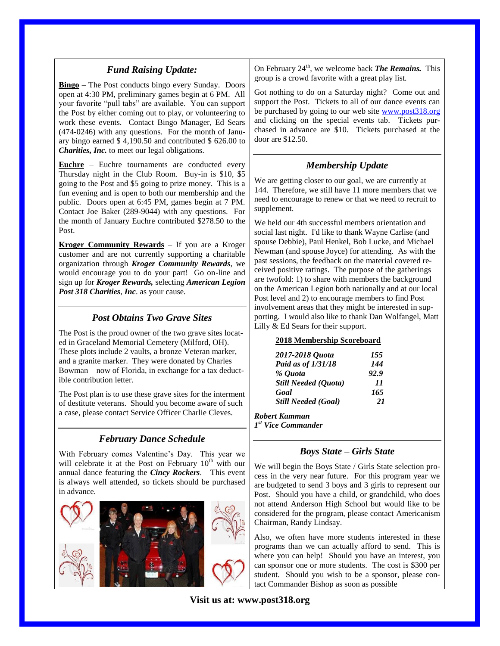## *Fund Raising Update:*

**Bingo** – The Post conducts bingo every Sunday. Doors open at 4:30 PM, preliminary games begin at 6 PM. All your favorite "pull tabs" are available. You can support the Post by either coming out to play, or volunteering to work these events. Contact Bingo Manager, Ed Sears (474-0246) with any questions. For the month of January bingo earned \$ 4,190.50 and contributed \$ 626.00 to *Charities, Inc.* to meet our legal obligations.

**Euchre** – Euchre tournaments are conducted every Thursday night in the Club Room. Buy-in is \$10, \$5 going to the Post and \$5 going to prize money. This is a fun evening and is open to both our membership and the public. Doors open at 6:45 PM, games begin at 7 PM. Contact Joe Baker (289-9044) with any questions. For the month of January Euchre contributed \$278.50 to the Post.

**Kroger Community Rewards** – If you are a Kroger customer and are not currently supporting a charitable organization through *Kroger Community Rewards*, we would encourage you to do your part! Go on-line and sign up for *Kroger Rewards,* selecting *American Legion Post 318 Charities*, *Inc*. as your cause.

## *Post Obtains Two Grave Sites*

The Post is the proud owner of the two grave sites located in Graceland Memorial Cemetery (Milford, OH). These plots include 2 vaults, a bronze Veteran marker, and a granite marker. They were donated by Charles Bowman – now of Florida, in exchange for a tax deductible contribution letter.

The Post plan is to use these grave sites for the interment of destitute veterans. Should you become aware of such a case, please contact Service Officer Charlie Cleves.

## *February Dance Schedule*

With February comes Valentine's Day. This year we will celebrate it at the Post on February  $10<sup>th</sup>$  with our annual dance featuring the *Cincy Rockers*. This event is always well attended, so tickets should be purchased in advance.



On February 24<sup>th</sup>, we welcome back **The Remains.** This group is a crowd favorite with a great play list.

Got nothing to do on a Saturday night? Come out and support the Post. Tickets to all of our dance events can be purchased by going to our web site [www.post318.org](http://www.post318.org/) and clicking on the special events tab. Tickets purchased in advance are \$10. Tickets purchased at the door are \$12.50.

## *Membership Update*

We are getting closer to our goal, we are currently at 144. Therefore, we still have 11 more members that we need to encourage to renew or that we need to recruit to supplement.

We held our 4th successful members orientation and social last night. I'd like to thank Wayne Carlise (and spouse Debbie), Paul Henkel, Bob Lucke, and Michael Newman (and spouse Joyce) for attending. As with the past sessions, the feedback on the material covered received positive ratings. The purpose of the gatherings are twofold: 1) to share with members the background on the American Legion both nationally and at our local Post level and 2) to encourage members to find Post involvement areas that they might be interested in supporting. I would also like to thank Dan Wolfangel, Matt Lilly & Ed Sears for their support.

#### **2018 Membership Scoreboard**

| 2017-2018 Quota             | 155  |
|-----------------------------|------|
| Paid as of 1/31/18          | 144  |
| % Quota                     | 92.9 |
| <b>Still Needed (Quota)</b> | 11   |
| Goal                        | 165  |
| <b>Still Needed (Goal)</b>  | 21   |
| Robert Kamman               |      |

*1 st Vice Commander*

## *Boys State – Girls State*

We will begin the Boys State / Girls State selection process in the very near future. For this program year we are budgeted to send 3 boys and 3 girls to represent our Post. Should you have a child, or grandchild, who does not attend Anderson High School but would like to be considered for the program, please contact Americanism Chairman, Randy Lindsay.

Also, we often have more students interested in these programs than we can actually afford to send. This is where you can help! Should you have an interest, you can sponsor one or more students. The cost is \$300 per student. Should you wish to be a sponsor, please contact Commander Bishop as soon as possible

**Visit us at: www.post318.org**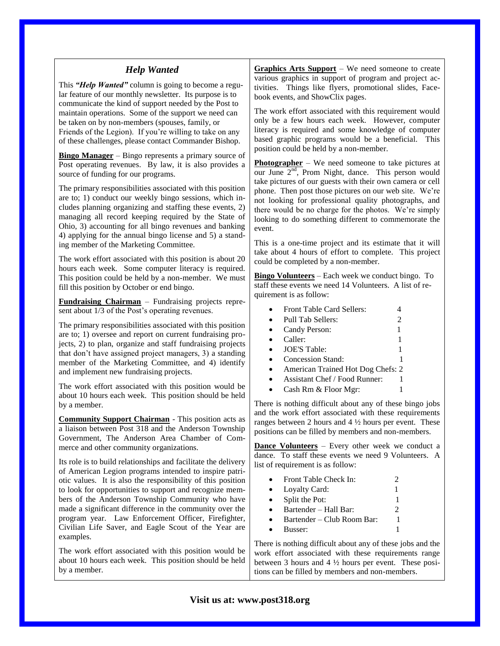| <b>Help Wanted</b><br>This "Help Wanted" column is going to become a regu-<br>lar feature of our monthly newsletter. Its purpose is to<br>communicate the kind of support needed by the Post to<br>maintain operations. Some of the support we need can<br>be taken on by non-members (spouses, family, or<br>Friends of the Legion). If you're willing to take on any<br>of these challenges, please contact Commander Bishop.<br>Bingo Manager - Bingo represents a primary source of<br>Post operating revenues. By law, it is also provides a<br>source of funding for our programs.<br>The primary responsibilities associated with this position<br>are to; 1) conduct our weekly bingo sessions, which in-<br>cludes planning organizing and staffing these events, 2)<br>managing all record keeping required by the State of<br>Ohio, 3) accounting for all bingo revenues and banking<br>4) applying for the annual bingo license and 5) a stand-<br>ing member of the Marketing Committee.<br>The work effort associated with this position is about 20<br>hours each week. Some computer literacy is required.<br>This position could be held by a non-member. We must<br>fill this position by October or end bingo.<br>Fundraising Chairman - Fundraising projects repre-<br>sent about 1/3 of the Post's operating revenues.<br>The primary responsibilities associated with this position<br>are to; 1) oversee and report on current fundraising pro- | <b>Graphics Arts Support</b> – We need someone to create<br>various graphics in support of program and project ac-<br>tivities. Things like flyers, promotional slides, Face-<br>book events, and ShowClix pages.<br>The work effort associated with this requirement would<br>only be a few hours each week. However, computer<br>literacy is required and some knowledge of computer<br>based graphic programs would be a beneficial. This<br>position could be held by a non-member.<br><b>Photographer</b> – We need someone to take pictures at<br>our June 2 <sup>nd</sup> , Prom Night, dance. This person would<br>take pictures of our guests with their own camera or cell<br>phone. Then post those pictures on our web site. We're<br>not looking for professional quality photographs, and<br>there would be no charge for the photos. We're simply<br>looking to do something different to commemorate the<br>event.<br>This is a one-time project and its estimate that it will<br>take about 4 hours of effort to complete. This project<br>could be completed by a non-member.<br><b>Bingo Volunteers</b> – Each week we conduct bingo. To<br>staff these events we need 14 Volunteers. A list of re-<br>quirement is as follow:<br>Front Table Card Sellers:<br>4<br>$\overline{c}$<br>Pull Tab Sellers:<br>$\bullet$<br>Candy Person:<br>1<br>$\bullet$<br>Caller:<br>$\bullet$ |
|------------------------------------------------------------------------------------------------------------------------------------------------------------------------------------------------------------------------------------------------------------------------------------------------------------------------------------------------------------------------------------------------------------------------------------------------------------------------------------------------------------------------------------------------------------------------------------------------------------------------------------------------------------------------------------------------------------------------------------------------------------------------------------------------------------------------------------------------------------------------------------------------------------------------------------------------------------------------------------------------------------------------------------------------------------------------------------------------------------------------------------------------------------------------------------------------------------------------------------------------------------------------------------------------------------------------------------------------------------------------------------------------------------------------------------------------------------------------|----------------------------------------------------------------------------------------------------------------------------------------------------------------------------------------------------------------------------------------------------------------------------------------------------------------------------------------------------------------------------------------------------------------------------------------------------------------------------------------------------------------------------------------------------------------------------------------------------------------------------------------------------------------------------------------------------------------------------------------------------------------------------------------------------------------------------------------------------------------------------------------------------------------------------------------------------------------------------------------------------------------------------------------------------------------------------------------------------------------------------------------------------------------------------------------------------------------------------------------------------------------------------------------------------------------------------------------------------------------------------------------------------|
| jects, 2) to plan, organize and staff fundraising projects<br>that don't have assigned project managers, 3) a standing<br>member of the Marketing Committee, and 4) identify<br>and implement new fundraising projects.                                                                                                                                                                                                                                                                                                                                                                                                                                                                                                                                                                                                                                                                                                                                                                                                                                                                                                                                                                                                                                                                                                                                                                                                                                                | <b>JOE'S Table:</b><br>$\bullet$<br>Concession Stand:<br>$\bullet$<br>American Trained Hot Dog Chefs: 2<br>$\bullet$                                                                                                                                                                                                                                                                                                                                                                                                                                                                                                                                                                                                                                                                                                                                                                                                                                                                                                                                                                                                                                                                                                                                                                                                                                                                               |
| The work effort associated with this position would be<br>about 10 hours each week. This position should be held<br>by a member.<br><b>Community Support Chairman</b> - This position acts as                                                                                                                                                                                                                                                                                                                                                                                                                                                                                                                                                                                                                                                                                                                                                                                                                                                                                                                                                                                                                                                                                                                                                                                                                                                                          | Assistant Chef / Food Runner:<br>1<br>$\bullet$<br>Cash Rm & Floor Mgr:<br>1<br>$\bullet$<br>There is nothing difficult about any of these bingo jobs<br>and the work effort associated with these requirements<br>ranges between 2 hours and $4\frac{1}{2}$ hours per event. These                                                                                                                                                                                                                                                                                                                                                                                                                                                                                                                                                                                                                                                                                                                                                                                                                                                                                                                                                                                                                                                                                                                |
| a liaison between Post 318 and the Anderson Township<br>Government, The Anderson Area Chamber of Com-<br>merce and other community organizations.<br>Its role is to build relationships and facilitate the delivery<br>of American Legion programs intended to inspire patri-                                                                                                                                                                                                                                                                                                                                                                                                                                                                                                                                                                                                                                                                                                                                                                                                                                                                                                                                                                                                                                                                                                                                                                                          | positions can be filled by members and non-members.<br><b>Dance Volunteers</b> - Every other week we conduct a<br>dance. To staff these events we need 9 Volunteers. A<br>list of requirement is as follow:                                                                                                                                                                                                                                                                                                                                                                                                                                                                                                                                                                                                                                                                                                                                                                                                                                                                                                                                                                                                                                                                                                                                                                                        |
| otic values. It is also the responsibility of this position<br>to look for opportunities to support and recognize mem-<br>bers of the Anderson Township Community who have<br>made a significant difference in the community over the<br>program year. Law Enforcement Officer, Firefighter,<br>Civilian Life Saver, and Eagle Scout of the Year are<br>examples.                                                                                                                                                                                                                                                                                                                                                                                                                                                                                                                                                                                                                                                                                                                                                                                                                                                                                                                                                                                                                                                                                                      | Front Table Check In:<br>2<br>Loyalty Card:<br>1<br>Split the Pot:<br>Bartender - Hall Bar:<br>2<br>$\bullet$<br>Bartender - Club Room Bar:<br>1<br>Busser:<br>1<br>$\bullet$                                                                                                                                                                                                                                                                                                                                                                                                                                                                                                                                                                                                                                                                                                                                                                                                                                                                                                                                                                                                                                                                                                                                                                                                                      |
| The work effort associated with this position would be<br>about 10 hours each week. This position should be held<br>by a member.                                                                                                                                                                                                                                                                                                                                                                                                                                                                                                                                                                                                                                                                                                                                                                                                                                                                                                                                                                                                                                                                                                                                                                                                                                                                                                                                       | There is nothing difficult about any of these jobs and the<br>work effort associated with these requirements range<br>between 3 hours and $4\frac{1}{2}$ hours per event. These posi-<br>tions can be filled by members and non-members.                                                                                                                                                                                                                                                                                                                                                                                                                                                                                                                                                                                                                                                                                                                                                                                                                                                                                                                                                                                                                                                                                                                                                           |

**Visit us at: www.post318.org**